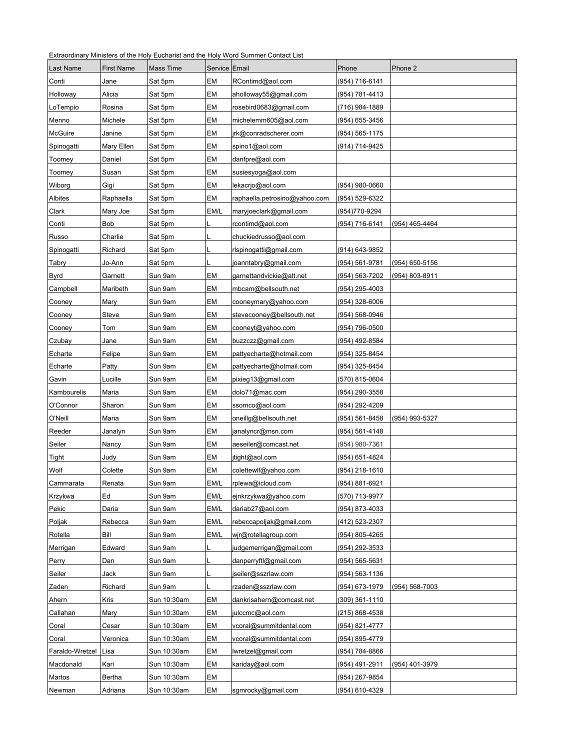Extraordinary Ministers of the Holy Eucharist and the Holy Word Summer Contact List

| Last Name       | <b>First Name</b> | <b>Mass Time</b> | Service Email |                               | Phone          | Phone 2        |
|-----------------|-------------------|------------------|---------------|-------------------------------|----------------|----------------|
| Conti           | Jane              | Sat 5pm          | EM            | RContimd@aol.com              | (954) 716-6141 |                |
| Holloway        | Alicia            | Sat 5pm          | EM            | aholloway55@gmail.com         | (954) 781-4413 |                |
| LoTempio        | Rosina            | Sat 5pm          | EM            | rosebird0683@gmail.com        | (716) 984-1889 |                |
| Menno           | Michele           | Sat 5pm          | EM            | michelemm605@aol.com          | (954) 655-3456 |                |
| McGuire         | Janine            | Sat 5pm          | EM            | jrk@conradscherer.com         | (954) 565-1175 |                |
| Spinogatti      | Mary Ellen        | Sat 5pm          | EM            | spino1@aol.com                | (914) 714-9425 |                |
| Toomey          | Daniel            | Sat 5pm          | EM            | danfpre@aol.com               |                |                |
| Toomey          | Susan             | Sat 5pm          | EM            | susiesyoga@aol.com            |                |                |
| Wiborg          | Gigi              | Sat 5pm          | EM            | lekacrjo@aol.com              | (954) 980-0660 |                |
| Albites         | Raphaella         | Sat 5pm          | EM            | raphaella.petrosino@yahoo.com | (954) 529-6322 |                |
| Clark           | Mary Joe          | Sat 5pm          | EM/L          | maryjoeclark@gmail.com        | (954)770-9294  |                |
| Conti           | Bob               | Sat 5pm          |               | rcontimd@aol.com              | (954) 716-6141 | (954) 465-4464 |
| Russo           | Charlie           | Sat 5pm          |               | chuckiedrusso@aol.com         |                |                |
| Spinogatti      | Richard           | Sat 5pm          |               | rlspinogatti@gmail.com        | (914) 643-9852 |                |
| Tabry           | Jo-Ann            | Sat 5pm          |               | joanntabry@gmail.com          | (954) 561-9781 | (954) 650-5156 |
| <b>Byrd</b>     | Garnett           | Sun 9am          | EM            | garnettandvickie@att.net      | (954) 563-7202 | (954) 803-8911 |
| Campbell        | Maribeth          | Sun 9am          | EM            | mbcam@bellsouth.net           | (954) 295-4003 |                |
| Cooney          | Mary              | Sun 9am          | EM            | cooneymary@yahoo.com          | (954) 328-6006 |                |
| Cooney          | Steve             | Sun 9am          | EM            | stevecooney@bellsouth.net     | (954) 568-0946 |                |
| Cooney          | Tom               | Sun 9am          | EM            | cooneyt@yahoo.com             | (954) 796-0500 |                |
| Czubay          | Jane              | Sun 9am          | EM            | buzzczz@gmail.com             | (954) 492-8584 |                |
| Echarte         | Felipe            | Sun 9am          | EM            | pattyecharte@hotmail.com      | (954) 325-8454 |                |
| Echarte         | Patty             | Sun 9am          | EM            | pattyecharte@hotmail.com      | (954) 325-8454 |                |
| Gavin           | Lucille           | Sun 9am          | EM            | pixieg13@gmail.com            | (570) 815-0604 |                |
| Kambourelis     | Maria             | Sun 9am          | EM            | dolo71@mac.com                | (954) 290-3558 |                |
| O'Connor        | Sharon            | Sun 9am          | EM            | ssomco@aol.com                | (954) 292-4209 |                |
| O'Neill         | Maria             | Sun 9am          | EM            | oneillg@bellsouth.net         | (954) 561-8458 | (954) 993-5327 |
| Reeder          | Janalyn           | Sun 9am          | EM            | janalyncr@msn.com             | (954) 561-4148 |                |
| Seiler          | Nancy             | Sun 9am          | EM            | aeseiler@comcast.net          | (954) 980-7361 |                |
| Tight           | Judy              | Sun 9am          | EM            | jtight@aol.com                | (954) 651-4824 |                |
| Wolf            | Colette           | Sun 9am          | EM            | colettewlf@yahoo.com          | (954) 218-1610 |                |
| Cammarata       | Renata            | Sun 9am          | EM/L          | rplewa@icloud.com             | (954) 881-6921 |                |
| Krzykwa         | Ed                | Sun 9am          | EM/L          | ejnkrzykwa@yahoo.com          | (570) 713-9977 |                |
| Pekic           | Daria             | Sun 9am          | EM/L          | dariab27@aol.com              | (954) 873-4033 |                |
| Poljak          | Rebecca           | Sun 9am          | EM/L          | rebeccapoljak@gmail.com       | (412) 523-2307 |                |
| Rotella         | Bill              | Sun 9am          | EM/L          | wjr@rotellagroup.com          | (954) 805-4265 |                |
| Merrigan        | Edward            | Sun 9am          |               | judgemerrigan@gmail.com       | (954) 292-3533 |                |
| Perry           | Dan               | Sun 9am          |               | danperryftl@gmail.com         | (954) 565-5631 |                |
| Seiler          | Jack              | Sun 9am          |               | jseiler@sszrlaw.com           | (954) 563-1136 |                |
| Zaden           | Richard           | Sun 9am          |               | rzaden@sszrlaw.com            | (954) 673-1979 | (954) 568-7003 |
| Ahern           | Kris              | Sun 10:30am      | EM            | dankrisahern@comcast.net      | (309) 361-1110 |                |
| Callahan        | Mary              | Sun 10:30am      | EM            | julccmc@aol.com               | (215) 868-4538 |                |
| Coral           | Cesar             | Sun 10:30am      | EM            | vcoral@summitdental.com       | (954) 821-4777 |                |
| Coral           | Veronica          | Sun 10:30am      | EM            | vcoral@summitdental.com       | (954) 895-4779 |                |
| Faraldo-Wretzel | Lisa              | Sun 10:30am      | EM            | lwretzel@gmail.com            | (954) 784-8866 |                |
| Macdonald       | Kari              | Sun 10:30am      | EM            | kariday@aol.com               | (954) 491-2911 | (954) 401-3979 |
| Martos          | Bertha            | Sun 10:30am      | EM            |                               | (954) 267-9854 |                |
| Newman          | Adriana           | Sun 10:30am      | EM            | sgmrocky@gmail.com            | (954) 610-4329 |                |